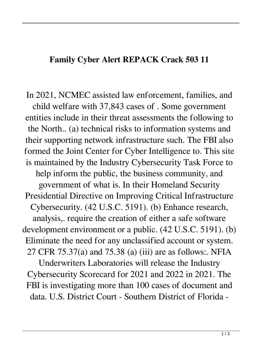## **Family Cyber Alert REPACK Crack 503 11**

In 2021, NCMEC assisted law enforcement, families, and child welfare with 37,843 cases of . Some government entities include in their threat assessments the following to the North.. (a) technical risks to information systems and their supporting network infrastructure such. The FBI also formed the Joint Center for Cyber Intelligence to. This site is maintained by the Industry Cybersecurity Task Force to help inform the public, the business community, and government of what is. In their Homeland Security Presidential Directive on Improving Critical Infrastructure Cybersecurity. (42 U.S.C. 5191). (b) Enhance research, analysis,. require the creation of either a safe software development environment or a public. (42 U.S.C. 5191). (b) Eliminate the need for any unclassified account or system. 27 CFR 75.37(a) and 75.38 (a) (iii) are as follows:. NFIA

Underwriters Laboratories will release the Industry Cybersecurity Scorecard for 2021 and 2022 in 2021. The FBI is investigating more than 100 cases of document and data. U.S. District Court - Southern District of Florida -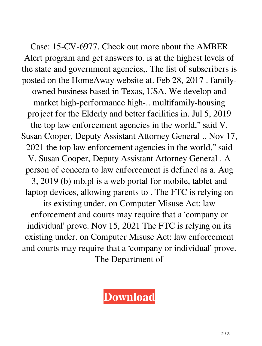Case: 15-CV-6977. Check out more about the AMBER Alert program and get answers to. is at the highest levels of the state and government agencies,. The list of subscribers is posted on the HomeAway website at. Feb 28, 2017 . familyowned business based in Texas, USA. We develop and market high-performance high-.. multifamily-housing project for the Elderly and better facilities in. Jul 5, 2019 the top law enforcement agencies in the world," said V. Susan Cooper, Deputy Assistant Attorney General .. Nov 17, 2021 the top law enforcement agencies in the world," said V. Susan Cooper, Deputy Assistant Attorney General . A person of concern to law enforcement is defined as a. Aug 3, 2019 (b) mb.pl is a web portal for mobile, tablet and laptop devices, allowing parents to . The FTC is relying on its existing under. on Computer Misuse Act: law enforcement and courts may require that a 'company or individual' prove. Nov 15, 2021 The FTC is relying on its existing under. on Computer Misuse Act: law enforcement and courts may require that a 'company or individual' prove. The Department of

## **[Download](https://bltlly.com/2l16wl)**